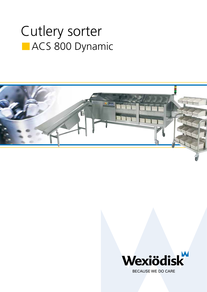# Cutlery sorter ACS 800 Dynamic



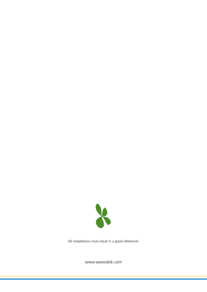

All installations must result in a good reference!

www.wexiodisk.com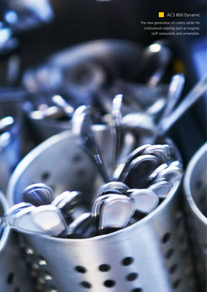### ACS 800 Dynamic

The new generation of cutlery sorter for institutional catering such as hospital, staff restaurants and universities.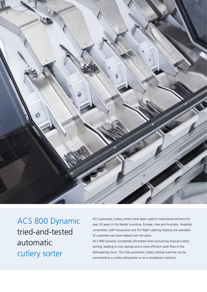

ACS 800 Dynamic tried-and-tested automatic cutlery sorter

ACS automatic cutlery sorters have been used in institutional kitchens for over 20 years in the Nordic countries, Europe, Asia and Australia. Hospitals, universities, staff restaurants and the flight catering industry are examples of customers we have helped over the years.

ACS 800 Dynamic completely eliminates time-consuming manual cutlery sorting, leading to cost savings and a more efficient work flow in the dishwashing room. The fully automatic cutlery sorting machine can be connected to a cutlery dishwasher or as a standalone machine.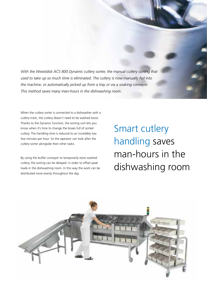*With the Wexiödisk ACS 800 Dynamic cutlery sorter, the manual cutlery sorting that*  used to take up so much time is eliminated. The cutlery is now manually fed into *the machine, or automatically picked up from a tray or via a soaking conveyor. This method saves many man-hours in the dishwashing room.*

When the cutlery sorter is connected to a dishwasher with a cutlery track, the cutlery doesn't need to be washed twice. Thanks to the Dynamic function, the sorting unit lets you know when it's time to change the boxes full of sorted cutlery. The handling time is reduced to an incredibly low five minutes per hour. So the operator can look after the cutlery sorter alongside their other tasks.

By using the buffer conveyor to temporarily store washed cutlery, the sorting can be delayed- in order to offset peak loads in the dishwashing room. In this way the work can be distributed more evenly throughout the day.

Smart cutlery handling saves man-hours in the dishwashing room

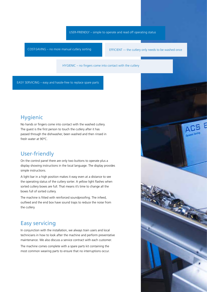USER-FRIENDLY – simple to operate and read off operating status

COST-SAVING – no more manual cutlery sorting EFFICIENT –- the cutlery only needs to be washed once

HYGIENIC – no fingers come into contact with the cutlery

EASY SERVICING – easy and hassle-free to replace spare parts

### Hygienic

No hands or fingers come into contact with the washed cutlery. The guest is the first person to touch the cutlery after it has passed through the dishwasher, been washed and then rinsed in fresh water at 90°C.

### User-friendly

On the control panel there are only two buttons to operate plus a display showing instructions in the local language. The display provides simple instructions.

A light bar in a high position makes it easy even at a distance to see the operating status of the cutlery sorter. A yellow light flashes when sorted cutlery boxes are full. That means it's time to change all the boxes full of sorted cutlery.

The machine is fitted with reinforced soundproofing. The infeed, outfeed and the end box have sound traps to reduce the noise from the cutlery.

### Easy servicing

In conjunction with the installation, we always train users and local technicians in how to look after the machine and perform preventative maintenance. We also discuss a service contract with each customer.

The machine comes complete with a spare parts kit containing the most common wearing parts to ensure that no interruptions occur.

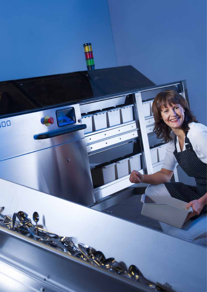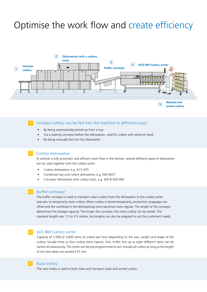## Optimise the work flow and create efficiency



Unclean cutlery can be fed into the machine in different ways:

- By being automatically picked up from a tray.
- Via a soaking conveyor before the dishwasher, used for cutlery with dried-on food.
- By being manually fed into the dishwasher.

#### Cutlery dishwasher  $|2|$

To achieve a fully automatic and efficient work flow in the kitchen, several different types of dishwasher can be used together with the cutlery sorter.

- Cutlery dishwasher, e.g. ACS 47D
- Combined tray and cutlery dishwasher, e.g. WD-66CT
- Conveyor dishwasher with cutlery track, e.g. WD-B 500-900

#### Buffer conveyor

The buffer conveyor is used to transport clean cutlery from the dishwasher to the cutlery sorter and also to temporarily store cutlery. When cutlery is stored temporarily, production stoppages are offset and the workload in the dishwashing room becomes more regular. The length of the conveyor determines the storage capacity. The longer the conveyor, the more cutlery can be stored. The standard lengths are 1.5 to 3.5 metres, but lengths can also be adapted to suit the customer's needs.

#### ACS 800 Cutlery sorter  $|4|$

Capacity of 2,500 to 3,600 items of cutlery per hour depending on the size, weight and shape of the cutlery. Usually three or four cutlery items (spoon, fork, knife), but up to eight different items can be sorted simultaneously. The sorter can be pre-programmed to sort virtually all cutlery as long as the length of the item does not exceed 215 mm.

#### Rack trolley

5

The rack trolley is used to both store and transport clean and sorted cutlery.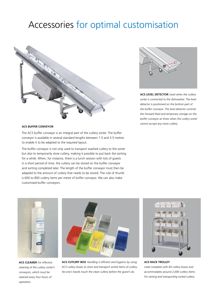## Accessories for optimal customisation



#### **ACS BUFFER CONVEYOR**

The ACS buffer conveyor is an integral part of the cutlery sorter. The buffer conveyor is available in several standard lengths between 1.5 and 3.5 metres to enable it to be adapted to the required layout.

The buffer conveyor is not only used to transport washed cutlery to the sorter but also to temporarily store cutlery, making it possible to put back the sorting for a while. When, for instance, there is a lunch session with lots of guests in a short period of time, the cutlery can be stored on the buffer conveyor and sorting completed later. The length of the buffer conveyor must then be adapted to the amount of cutlery that needs to be stored. The rule of thumb is 600 to 800 cutlery items per metre of buffer conveyor. We can also make customised buffer conveyors.



**ACS LEVEL DETECTOR** *Used when the cutlery sorter is connected to the dishwasher. The level detector is positioned on the bottom part of the buffer conveyor. The level detector controls the forward feed and temporary storage on the buffer conveyor at times when the cutlery sorter cannot accept any more cutlery.*



**ACS CLEANER** *For effective cleaning of the cutlery sorter's conveyors, which must be cleaned every four hours of operation.* 



**ACS CUTLERY BOX** *Handling is efficient and hygienic by using ACS cutlery boxes to store and transport sorted items of cutlery. No-one's hands touch the clean cutlery before the guest's do.*



**ACS RACK TROLLEY** *Used complete with 40 cutlery boxes and accommodates around 2,000 cutlery items. For storing and transporting sorted cutlery.*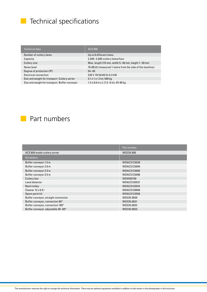## $\blacksquare$  Technical specifications

| <b>ACS 800</b>                                           |
|----------------------------------------------------------|
| Up to 8 different items                                  |
| 2,500-3,600 cutlery items/hour                           |
| Max. length 215 mm, width 5-46 mm, height 1-30 mm        |
| 78 dB(A) (measured 1 metre from the side of the machine) |
| $54 - 65$                                                |
| 230 V 1N 50/60 Hz 0.3 kW                                 |
| $3.1 \times 1 \times 1.3$ m; 500 kg                      |
| $1.2 \times 0.6$ m x L (1.5–6 m); 45-80 kg               |
|                                                          |

### **Part numbers**

|                                      | Part number        |
|--------------------------------------|--------------------|
| ACS 800 model cutlery sorter         | WD235.800          |
| Accessory                            |                    |
| Buffer conveyor 1.5 m                | <b>WDACS123030</b> |
| Buffer conveyor 2.0 m                | <b>WDACS123094</b> |
| Buffer conveyor 2.5 m                | <b>WDACS123095</b> |
| Buffer conveyor 3.5 m                | <b>WDACS123096</b> |
| Cutlery box                          | WD4550150          |
| Level detector                       | <b>WDACS120537</b> |
| Rack trolley                         | <b>WDACS123016</b> |
| Cleaner $12 \times 0.5$ I            | <b>WDACS120000</b> |
| Spare parts kit                      | <b>WDACS123550</b> |
| Buffer conveyor, straight connection | WD235.0830         |
| Buffer conveyor, connection 90°      | WD235.0831         |
| Buffer conveyor, connection 180°     | WD235.0832         |
| Buffer conveyor, adjustable 30-80°   | WD235.0833         |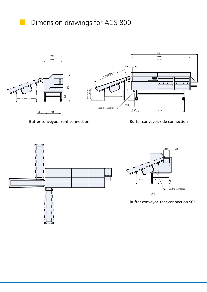## Dimension drawings for ACS 800



Buffer conveyor, front connection entity of the surfler conveyor, side connection

 $\mathbb{R}^n$ 

Buffer conveyor, sic